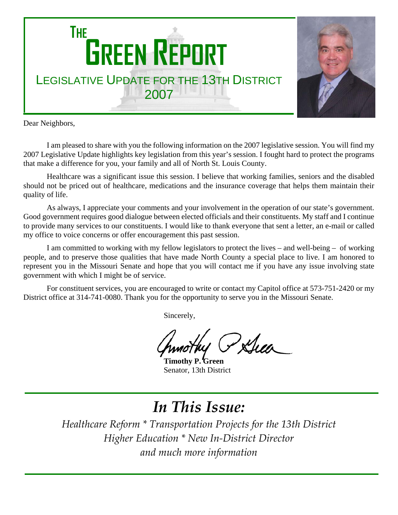

Dear Neighbors,

I am pleased to share with you the following information on the 2007 legislative session. You will find my 2007 Legislative Update highlights key legislation from this year's session. I fought hard to protect the programs that make a difference for you, your family and all of North St. Louis County.

Healthcare was a significant issue this session. I believe that working families, seniors and the disabled should not be priced out of healthcare, medications and the insurance coverage that helps them maintain their quality of life.

As always, I appreciate your comments and your involvement in the operation of our state's government. Good government requires good dialogue between elected officials and their constituents. My staff and I continue to provide many services to our constituents. I would like to thank everyone that sent a letter, an e-mail or called my office to voice concerns or offer encouragement this past session.

I am committed to working with my fellow legislators to protect the lives – and well-being – of working people, and to preserve those qualities that have made North County a special place to live. I am honored to represent you in the Missouri Senate and hope that you will contact me if you have any issue involving state government with which I might be of service.

For constituent services, you are encouraged to write or contact my Capitol office at 573-751-2420 or my District office at 314-741-0080. Thank you for the opportunity to serve you in the Missouri Senate.

Sincerely,

Pxhea

**Timothy P. Green** Senator, 13th District

# *In This Issue:*

*Healthcare Reform \* Transportation Projects for the 13th District Higher Education \* New In‐District Director and much more information*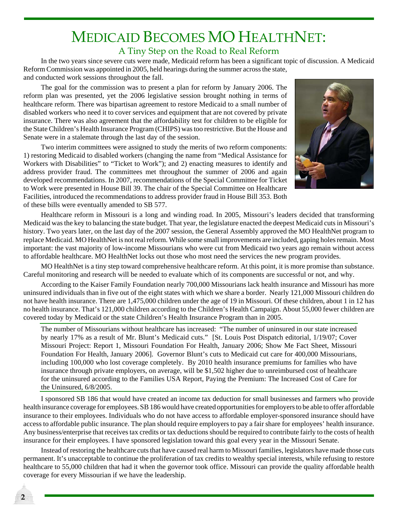#### MEDICAID BECOMES MO HEALTHNET: A Tiny Step on the Road to Real Reform

In the two years since severe cuts were made, Medicaid reform has been a significant topic of discussion. A Medicaid Reform Commission was appointed in 2005, held hearings during the summer across the state, and conducted work sessions throughout the fall.

The goal for the commission was to present a plan for reform by January 2006. The reform plan was presented, yet the 2006 legislative session brought nothing in terms of healthcare reform. There was bipartisan agreement to restore Medicaid to a small number of disabled workers who need it to cover services and equipment that are not covered by private insurance. There was also agreement that the affordability test for children to be eligible for the State Children's Health Insurance Program (CHIPS) was too restrictive. But the House and Senate were in a stalemate through the last day of the session.

Two interim committees were assigned to study the merits of two reform components: 1) restoring Medicaid to disabled workers (changing the name from "Medical Assistance for Workers with Disabilities" to "Ticket to Work"); and 2) enacting measures to identify and address provider fraud. The committees met throughout the summer of 2006 and again developed recommendations. In 2007, recommendations of the Special Committee for Ticket to Work were presented in House Bill 39. The chair of the Special Committee on Healthcare Facilities, introduced the recommendations to address provider fraud in House Bill 353. Both of these bills were eventually amended to SB 577.



Healthcare reform in Missouri is a long and winding road. In 2005, Missouri's leaders decided that transforming Medicaid was the key to balancing the state budget. That year, the legislature enacted the deepest Medicaid cuts in Missouri's history. Two years later, on the last day of the 2007 session, the General Assembly approved the MO HealthNet program to replace Medicaid. MO HealthNet is not real reform. While some small improvements are included, gaping holes remain. Most important: the vast majority of low-income Missourians who were cut from Medicaid two years ago remain without access to affordable healthcare. MO HealthNet locks out those who most need the services the new program provides.

MO HealthNet is a tiny step toward comprehensive healthcare reform. At this point, it is more promise than substance. Careful monitoring and research will be needed to evaluate which of its components are successful or not, and why.

According to the Kaiser Family Foundation nearly 700,000 Missourians lack health insurance and Missouri has more uninsured individuals than in five out of the eight states with which we share a border. Nearly 121,000 Missouri children do not have health insurance. There are 1,475,000 children under the age of 19 in Missouri. Of these children, about 1 in 12 has no health insurance. That's 121,000 children according to the Children's Health Campaign. About 55,000 fewer children are covered today by Medicaid or the state Children's Health Insurance Program than in 2005.

The number of Missourians without healthcare has increased: "The number of uninsured in our state increased by nearly 17% as a result of Mr. Blunt's Medicaid cuts." [St. Louis Post Dispatch editorial, 1/19/07; Cover Missouri Project: Report 1, Missouri Foundation For Health, January 2006; Show Me Fact Sheet, Missouri Foundation For Health, January 2006]. Governor Blunt's cuts to Medicaid cut care for 400,000 Missourians, including 100,000 who lost coverage completely. By 2010 health insurance premiums for families who have insurance through private employers, on average, will be \$1,502 higher due to unreimbursed cost of healthcare for the uninsured according to the Families USA Report, Paying the Premium: The Increased Cost of Care for the Uninsured, 6/8/2005.

I sponsored SB 186 that would have created an income tax deduction for small businesses and farmers who provide health insurance coverage for employees. SB 186 would have created opportunities for employers to be able to offer affordable insurance to their employees. Individuals who do not have access to affordable employer-sponsored insurance should have access to affordable public insurance. The plan should require employers to pay a fair share for employees' health insurance. Any business/enterprise that receives tax credits or tax deductions should be required to contribute fairly to the costs of health insurance for their employees. I have sponsored legislation toward this goal every year in the Missouri Senate.

Instead of restoring the healthcare cuts that have caused real harm to Missouri families, legislators have made those cuts permanent. It's unacceptable to continue the proliferation of tax credits to wealthy special interests, while refusing to restore healthcare to 55,000 children that had it when the governor took office. Missouri can provide the quality affordable health coverage for every Missourian if we have the leadership.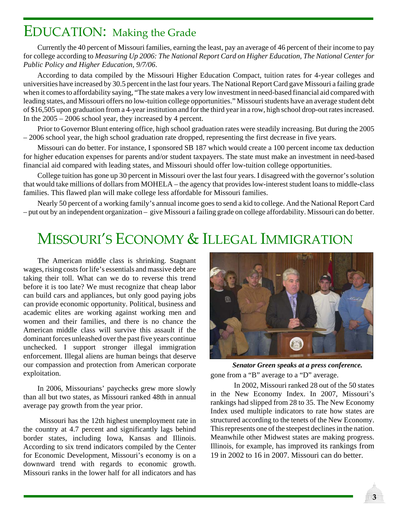#### EDUCATION: Making the Grade

Currently the 40 percent of Missouri families, earning the least, pay an average of 46 percent of their income to pay for college according to *Measuring Up 2006: The National Report Card on Higher Education, The National Center for Public Policy and Higher Education, 9/7/06*.

According to data compiled by the Missouri Higher Education Compact, tuition rates for 4-year colleges and universities have increased by 30.5 percent in the last four years. The National Report Card gave Missouri a failing grade when it comes to affordability saying, "The state makes a very low investment in need-based financial aid compared with leading states, and Missouri offers no low-tuition college opportunities." Missouri students have an average student debt of \$16,505 upon graduation from a 4-year institution and for the third year in a row, high school drop-out rates increased. In the 2005 – 2006 school year, they increased by 4 percent.

Prior to Governor Blunt entering office, high school graduation rates were steadily increasing. But during the 2005 – 2006 school year, the high school graduation rate dropped, representing the first decrease in five years.

Missouri can do better. For instance, I sponsored SB 187 which would create a 100 percent income tax deduction for higher education expenses for parents and/or student taxpayers. The state must make an investment in need-based financial aid compared with leading states, and Missouri should offer low-tuition college opportunities.

College tuition has gone up 30 percent in Missouri over the last four years. I disagreed with the governor's solution that would take millions of dollars from MOHELA – the agency that provides low-interest student loans to middle-class families. This flawed plan will make college less affordable for Missouri families.

Nearly 50 percent of a working family's annual income goes to send a kid to college. And the National Report Card – put out by an independent organization – give Missouri a failing grade on college affordability. Missouri can do better.

#### MISSOURI'S ECONOMY & ILLEGAL IMMIGRATION

The American middle class is shrinking. Stagnant wages, rising costs for life's essentials and massive debt are taking their toll. What can we do to reverse this trend before it is too late? We must recognize that cheap labor can build cars and appliances, but only good paying jobs can provide economic opportunity. Political, business and academic elites are working against working men and women and their families, and there is no chance the American middle class will survive this assault if the dominant forces unleashed over the past five years continue unchecked. I support stronger illegal immigration enforcement. Illegal aliens are human beings that deserve our compassion and protection from American corporate exploitation.

In 2006, Missourians' paychecks grew more slowly than all but two states, as Missouri ranked 48th in annual average pay growth from the year prior.

 Missouri has the 12th highest unemployment rate in the country at 4.7 percent and significantly lags behind border states, including Iowa, Kansas and Illinois. According to six trend indicators compiled by the Center for Economic Development, Missouri's economy is on a downward trend with regards to economic growth. Missouri ranks in the lower half for all indicators and has



gone from a "B" average to a "D" average. *Senator Green speaks at a press conference.*

In 2002, Missouri ranked 28 out of the 50 states in the New Economy Index. In 2007, Missouri's rankings had slipped from 28 to 35. The New Economy Index used multiple indicators to rate how states are structured according to the tenets of the New Economy. This represents one of the steepest declines in the nation. Meanwhile other Midwest states are making progress. Illinois, for example, has improved its rankings from 19 in 2002 to 16 in 2007. Missouri can do better.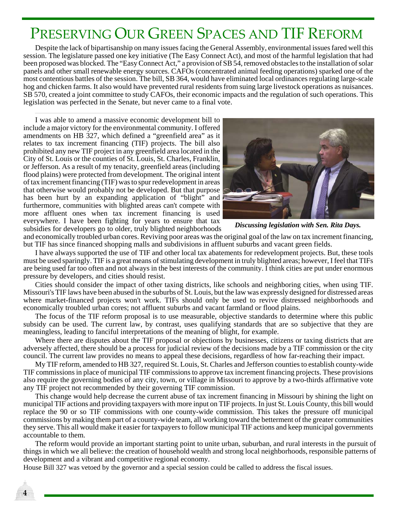#### PRESERVING OUR GREEN SPACES AND TIF REFORM

Despite the lack of bipartisanship on many issues facing the General Assembly, environmental issues fared well this session. The legislature passed one key initiative (The Easy Connect Act), and most of the harmful legislation that had been proposed was blocked. The "Easy Connect Act," a provision of SB 54, removed obstacles to the installation of solar panels and other small renewable energy sources. CAFOs (concentrated animal feeding operations) sparked one of the most contentious battles of the session. The bill, SB 364, would have eliminated local ordinances regulating large-scale hog and chicken farms. It also would have prevented rural residents from suing large livestock operations as nuisances. SB 570, created a joint committee to study CAFOs, their economic impacts and the regulation of such operations. This legislation was perfected in the Senate, but never came to a final vote.

I was able to amend a massive economic development bill to include a major victory for the environmental community. I offered amendments on HB 327, which defined a "greenfield area" as it relates to tax increment financing (TIF) projects. The bill also prohibited any new TIF project in any greenfield area located in the City of St. Louis or the counties of St. Louis, St. Charles, Franklin, or Jefferson. As a result of my tenacity, greenfield areas (including flood plains) were protected from development. The original intent of tax increment financing (TIF) was to spur redevelopment in areas that otherwise would probably not be developed. But that purpose has been hurt by an expanding application of "blight" and furthermore, communities with blighted areas can't compete with more affluent ones when tax increment financing is used everywhere. I have been fighting for years to ensure that tax subsidies for developers go to older, truly blighted neighborhoods



*Discussing legislation with Sen. Rita Days.*

and economically troubled urban cores. Reviving poor areas was the original goal of the law on tax increment financing, but TIF has since financed shopping malls and subdivisions in affluent suburbs and vacant green fields.

I have always supported the use of TIF and other local tax abatements for redevelopment projects. But, these tools must be used sparingly. TIF is a great means of stimulating development in truly blighted areas; however, I feel that TIFs are being used far too often and not always in the best interests of the community. I think cities are put under enormous pressure by developers, and cities should resist.

Cities should consider the impact of other taxing districts, like schools and neighboring cities, when using TIF. Missouri's TIF laws have been abused in the suburbs of St. Louis, but the law was expressly designed for distressed areas where market-financed projects won't work. TIFs should only be used to revive distressed neighborhoods and economically troubled urban cores; not affluent suburbs and vacant farmland or flood plains.

The focus of the TIF reform proposal is to use measurable, objective standards to determine where this public subsidy can be used. The current law, by contrast, uses qualifying standards that are so subjective that they are meaningless, leading to fanciful interpretations of the meaning of blight, for example.

Where there are disputes about the TIF proposal or objections by businesses, citizens or taxing districts that are adversely affected, there should be a process for judicial review of the decisions made by a TIF commission or the city council. The current law provides no means to appeal these decisions, regardless of how far-reaching their impact.

My TIF reform, amended to HB 327, required St. Louis, St. Charles and Jefferson counties to establish county-wide TIF commissions in place of municipal TIF commissions to approve tax increment financing projects. These provisions also require the governing bodies of any city, town, or village in Missouri to approve by a two-thirds affirmative vote any TIF project not recommended by their governing TIF commission.

This change would help decrease the current abuse of tax increment financing in Missouri by shining the light on municipal TIF actions and providing taxpayers with more input on TIF projects. In just St. Louis County, this bill would replace the 90 or so TIF commissions with one county-wide commission. This takes the pressure off municipal commissions by making them part of a county-wide team, all working toward the betterment of the greater communities they serve. This all would make it easier for taxpayers to follow municipal TIF actions and keep municipal governments accountable to them.

The reform would provide an important starting point to unite urban, suburban, and rural interests in the pursuit of things in which we all believe: the creation of household wealth and strong local neighborhoods, responsible patterns of development and a vibrant and competitive regional economy.

House Bill 327 was vetoed by the governor and a special session could be called to address the fiscal issues.

**4**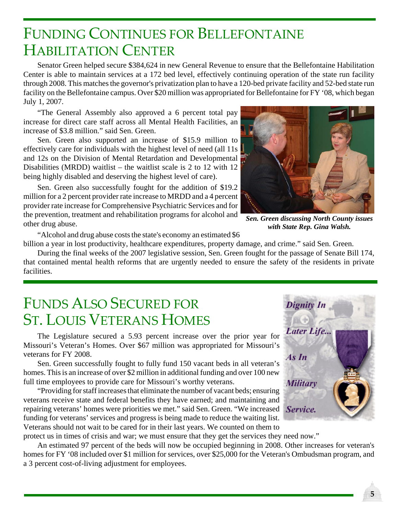#### FUNDING CONTINUES FOR BELLEFONTAINE HABILITATION CENTER

Senator Green helped secure \$384,624 in new General Revenue to ensure that the Bellefontaine Habilitation Center is able to maintain services at a 172 bed level, effectively continuing operation of the state run facility through 2008. This matches the governor's privatization plan to have a 120-bed private facility and 52-bed state run facility on the Bellefontaine campus. Over \$20 million was appropriated for Bellefontaine for FY '08, which began July 1, 2007.

"The General Assembly also approved a 6 percent total pay increase for direct care staff across all Mental Health Facilities, an increase of \$3.8 million." said Sen. Green.

Sen. Green also supported an increase of \$15.9 million to effectively care for individuals with the highest level of need (all 11s and 12s on the Division of Mental Retardation and Developmental Disabilities (MRDD) waitlist – the waitlist scale is 2 to 12 with 12 being highly disabled and deserving the highest level of care).

Sen. Green also successfully fought for the addition of \$19.2 million for a 2 percent provider rate increase to MRDD and a 4 percent provider rate increase for Comprehensive Psychiatric Services and for the prevention, treatment and rehabilitation programs for alcohol and other drug abuse.



*Sen. Green discussing North County issues with State Rep. Gina Walsh.*

"Alcohol and drug abuse costs the state's economy an estimated \$6 billion a year in lost productivity, healthcare expenditures, property damage, and crime." said Sen. Green.

During the final weeks of the 2007 legislative session, Sen. Green fought for the passage of Senate Bill 174, that contained mental health reforms that are urgently needed to ensure the safety of the residents in private facilities.

#### FUNDS ALSO SECURED FOR ST. LOUIS VETERANS HOMES

The Legislature secured a 5.93 percent increase over the prior year for Missouri's Veteran's Homes. Over \$67 million was appropriated for Missouri's veterans for FY 2008.

Sen. Green successfully fought to fully fund 150 vacant beds in all veteran's homes. This is an increase of over \$2 million in additional funding and over 100 new full time employees to provide care for Missouri's worthy veterans.

"Providing for staff increases that eliminate the number of vacant beds; ensuring veterans receive state and federal benefits they have earned; and maintaining and repairing veterans' homes were priorities we met." said Sen. Green. "We increased funding for veterans' services and progress is being made to reduce the waiting list. Veterans should not wait to be cared for in their last years. We counted on them to



protect us in times of crisis and war; we must ensure that they get the services they need now."

An estimated 97 percent of the beds will now be occupied beginning in 2008. Other increases for veteran's homes for FY '08 included over \$1 million for services, over \$25,000 for the Veteran's Ombudsman program, and a 3 percent cost-of-living adjustment for employees.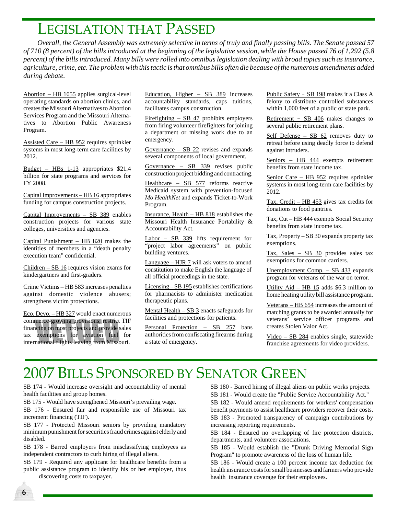#### LEGISLATION THAT PASSED

*Overall, the General Assembly was extremely selective in terms of truly and finally passing bills. The Senate passed 57 of 710 (8 percent) of the bills introduced at the beginning of the legislative session, while the House passed 76 of 1,292 (5.8 percent) of the bills introduced. Many bills were rolled into omnibus legislation dealing with broad topics such as insurance, agriculture, crime, etc. The problem with this tactic is that omnibus bills often die because of the numerous amendments added during debate.*

Abortion – HB 1055 applies surgical-level operating standards on abortion clinics, and creates the Missouri Alternatives to Abortion Services Program and the Missouri Alternatives to Abortion Public Awareness Program.

Assisted Care – HB 952 requires sprinkler systems in most long-term care facilities by 2012.

Budget – HBs 1-13 appropriates \$21.4 billion for state programs and services for FY 2008.

Capital Improvements – HB 16 appropriates funding for campus construction projects.

Capital Improvements – SB 389 enables construction projects for various state colleges, universities and agencies.

Capital Punishment – HB  $820$  makes the identities of members in a "death penalty execution team" confidential.

Children – SB 16 requires vision exams for kindergartners and first-graders.

Crime Victims – HB 583 increases penalties against domestic violence abusers; strengthens victim protections.

Eco. Devo. – HB 327 would enact numerous commerce-growing provisions; restrict TIF financing on most projects and provide sales tax exemptions for aviation fuel for international flights leaving from Missouri.

Education, Higher – SB 389 increases accountability standards, caps tuitions, facilitates campus construction.

Firefighting – SB 47 prohibits employers from firing volunteer firefighters for joining a department or missing work due to an emergency.

Governance – SB 22 revises and expands several components of local government.

Governance – SB 339 revises public construction project bidding and contracting.

Healthcare – SB 577 reforms reactive Medicaid system with prevention-focused *Mo HealthNet* and expands Ticket-to-Work Program.

Insurance, Health – HB 818 establishes the Missouri Health Insurance Portability & Accountability Act.

Labor – SB 339 lifts requirement for "project labor agreements" on public building ventures.

Language – HJR 7 will ask voters to amend constitution to make English the language of all official proceedings in the state.

Licensing – SB 195 establishes certifications for pharmacists to administer medication therapeutic plans.

Mental Health – SB 3 enacts safeguards for facilities and protections for patients.

Personal Protection – SB 257 bans authorities from confiscating firearms during a state of emergency.

Public Safety - SB 198 makes it a Class A felony to distribute controlled substances within 1,000 feet of a public or state park.

Retirement - SB 406 makes changes to several public retirement plans.

Self Defense – SB 62 removes duty to retreat before using deadly force to defend against intruders.

Seniors – HB 444 exempts retirement benefits from state income tax.

Senior Care – HB 952 requires sprinkler systems in most long-term care facilities by 2012.

Tax, Credit – HB 453 gives tax credits for donations to food pantries.

Tax, Cut – HB 444 exempts Social Security benefits from state income tax.

Tax, Property – SB 30 expands property tax exemptions.

Tax, Sales – SB 30 provides sales tax exemptions for common carriers.

Unemployment Comp. – SB 433 expands program for veterans of the war on terror.

Utility Aid – HB 15 adds \$6.3 million to home heating utility bill assistance program.

Veterans – HB 654 increases the amount of matching grants to be awarded annually for veterans' service officer programs and creates Stolen Valor Act.

Video – SB 284 enables single, statewide franchise agreements for video providers.

## 2007 BILLS SPONSORED BY SENATOR GREEN

SB 174 - Would increase oversight and accountability of mental health facilities and group homes.

SB 175 - Would have strengthened Missouri's prevailing wage.

SB 176 - Ensured fair and responsible use of Missouri tax increment financing (TIF).

SB 177 - Protected Missouri seniors by providing mandatory minimum punishment for securities fraud crimes against elderly and disabled.

SB 178 - Barred employers from misclassifying employees as independent contractors to curb hiring of illegal aliens.

SB 179 - Required any applicant for healthcare benefits from a public assistance program to identify his or her employer, thus

discovering costs to taxpayer.

**6**

SB 180 - Barred hiring of illegal aliens on public works projects. SB 181 - Would create the "Public Service Accountability Act."

SB 182 - Would amend requirements for workers' compensation benefit payments to assist healthcare providers recover their costs. SB 183 - Promoted transparency of campaign contributions by increasing reporting requirements.

SB 184 - Ensured no overlapping of fire protection districts, departments, and volunteer associations.

SB 185 - Would establish the "Drunk Driving Memorial Sign Program" to promote awareness of the loss of human life.

SB 186 - Would create a 100 percent income tax deduction for health insurance costs for small businesses and farmers who provide health insurance coverage for their employees.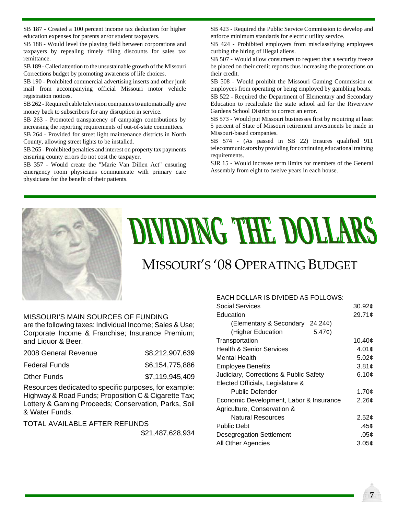SB 187 - Created a 100 percent income tax deduction for higher education expenses for parents an/or student taxpayers.

SB 188 - Would level the playing field between corporations and taxpayers by repealing timely filing discounts for sales tax remittance.

SB 189 - Called attention to the unsustainable growth of the Missouri Corrections budget by promoting awareness of life choices.

SB 190 - Prohibited commercial advertising inserts and other junk mail from accompanying official Missouri motor vehicle registration notices.

SB 262 - Required cable television companies to automatically give money back to subscribers for any disruption in service.

SB 263 - Promoted transparency of campaign contributions by increasing the reporting requirements of out-of-state committees.

SB 264 - Provided for street light maintenance districts in North County, allowing street lights to be installed.

SB 265 - Prohibited penalties and interest on property tax payments ensuring county errors do not cost the taxpayer.

SB 357 - Would create the "Marie Van Dillen Act" ensuring emergency room physicians communicate with primary care physicians for the benefit of their patients.

SB 423 - Required the Public Service Commission to develop and enforce minimum standards for electric utility service.

SB 424 - Prohibited employers from misclassifying employees curbing the hiring of illegal aliens.

SB 507 - Would allow consumers to request that a security freeze be placed on their credit reports thus increasing the protections on their credit.

SB 508 - Would prohibit the Missouri Gaming Commission or employees from operating or being employed by gambling boats.

SB 522 - Required the Department of Elementary and Secondary Education to recalculate the state school aid for the Riverview Gardens School District to correct an error.

SB 573 - Would put Missouri businesses first by requiring at least 5 percent of State of Missouri retirement investments be made in Missouri-based companies.

SB 574 - (As passed in SB 22) Ensures qualified 911 telecommunicators by providing for continuing educational training requirements.

SJR 15 - Would increase term limits for members of the General Assembly from eight to twelve years in each house.



# **DIAIDIMC .LHE DOITWES**

### MISSOURI'S '08 OPERATING BUDGET

MISSOURI'S MAIN SOURCES OF FUNDING are the following taxes: Individual Income; Sales & Use; Corporate Income & Franchise; Insurance Premium; and Liquor & Beer.

| 2008 General Revenue | \$8,212,907,639 |
|----------------------|-----------------|
| <b>Federal Funds</b> | \$6,154,775,886 |
| Other Funds          | \$7,119,945,409 |

Resources dedicated to specific purposes, for example: Highway & Road Funds; Proposition C & Cigarette Tax; Lottery & Gaming Proceeds; Conservation, Parks, Soil & Water Funds.

TOTAL AVAILABLE AFTER REFUNDS

\$21,487,628,934

#### EACH DOLLAR IS DIVIDED AS FOLLOWS:

| Social Services                            | 30.92 <sub>¢</sub> |
|--------------------------------------------|--------------------|
| Education                                  | 29.71¢             |
| (Elementary & Secondary<br>24.24c          |                    |
| $5.47\textcircled{t}$<br>(Higher Education |                    |
| Transportation                             | 10.40¢             |
| <b>Health &amp; Senior Services</b>        | 4.01¢              |
| Mental Health                              | 5.02¢              |
| <b>Employee Benefits</b>                   | 3.81c              |
| Judiciary, Corrections & Public Safety     | 6.10¢              |
| Elected Officials, Legislature &           |                    |
| Public Defender                            | 1.70¢              |
| Economic Development, Labor & Insurance    | 2.26c              |
| Agriculture, Conservation &                |                    |
| <b>Natural Resources</b>                   | 2.52c              |
| Public Debt                                | .45¢               |
| <b>Desegregation Settlement</b>            | .05¢               |
| All Other Agencies                         | 3.05¢              |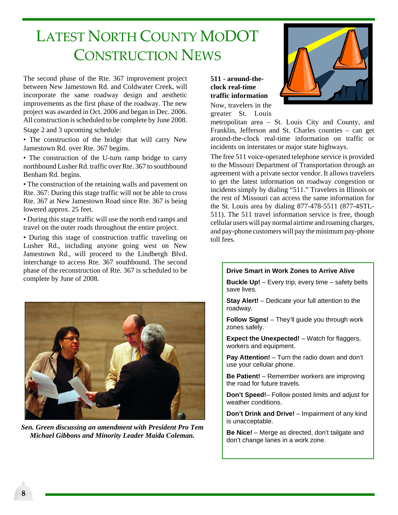## LATEST NORTH COUNTY MODOT CONSTRUCTION NEWS

The second phase of the Rte. 367 improvement project between New Jamestown Rd. and Coldwater Creek, will incorporate the same roadway design and aesthetic improvements as the first phase of the roadway. The new project was awarded in Oct. 2006 and began in Dec. 2006. All construction is scheduled to be complete by June 2008.

Stage 2 and 3 upcoming schedule:

• The construction of the bridge that will carry New Jamestown Rd. over Rte. 367 begins.

• The construction of the U-turn ramp bridge to carry northbound Lusher Rd. traffic over Rte. 367 to southbound Benham Rd. begins.

• The construction of the retaining walls and pavement on Rte. 367: During this stage traffic will not be able to cross Rte. 367 at New Jamestown Road since Rte. 367 is being lowered approx. 25 feet.

• During this stage traffic will use the north end ramps and travel on the outer roads throughout the entire project.

• During this stage of construction traffic traveling on Lusher Rd., including anyone going west on New Jamestown Rd., will proceed to the Lindbergh Blvd. interchange to access Rte. 367 southbound. The second phase of the reconstruction of Rte. 367 is scheduled to be complete by June of 2008.



*Sen. Green discussing an amendment with President Pro Tem Michael Gibbons and Minority Leader Maida Coleman.*

**8**

**511 - around-theclock real-time traffic information** Now, travelers in the

greater St. Louis



metropolitan area – St. Louis City and County, and Franklin, Jefferson and St. Charles counties – can get around-the-clock real-time information on traffic or incidents on interstates or major state highways.

The free 511 voice-operated telephone service is provided to the Missouri Department of Transportation through an agreement with a private sector vendor. It allows travelers to get the latest information on roadway congestion or incidents simply by dialing "511." Travelers in Illinois or the rest of Missouri can access the same information for the St. Louis area by dialing 877-478-5511 (877-4STL-511). The 511 travel information service is free, though cellular users will pay normal airtime and roaming charges, and pay-phone customers will pay the minimum pay-phone toll fees.

#### **Drive Smart in Work Zones to Arrive Alive**

**Buckle Up!** – Every trip, every time – safety belts save lives.

**Stay Alert!** – Dedicate your full attention to the roadway.

**Follow Signs!** – They'll guide you through work zones safely.

**Expect the Unexpected!** – Watch for flaggers, workers and equipment.

**Pay Attention!** – Turn the radio down and don't use your cellular phone.

**Be Patient!** – Remember workers are improving the road for future travels.

**Don't Speed!**– Follow posted limits and adjust for weather conditions.

**Don't Drink and Drive!** – Impairment of any kind is unacceptable.

**Be Nice!** – Merge as directed, don't tailgate and don't change lanes in a work zone.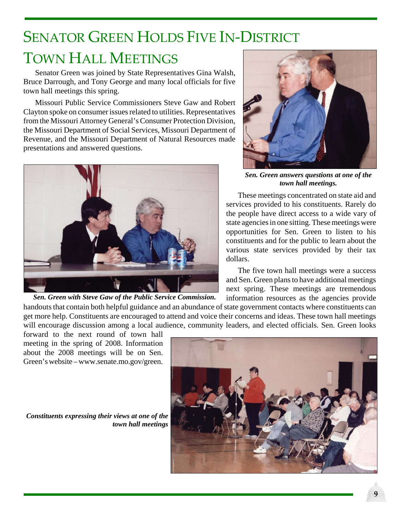## SENATOR GREEN HOLDS FIVE IN‐DISTRICT TOWN HALL MEETINGS

Senator Green was joined by State Representatives Gina Walsh, Bruce Darrough, and Tony George and many local officials for five town hall meetings this spring.

Missouri Public Service Commissioners Steve Gaw and Robert Clayton spoke on consumer issues related to utilities. Representatives from the Missouri Attorney General's Consumer Protection Division, the Missouri Department of Social Services, Missouri Department of Revenue, and the Missouri Department of Natural Resources made presentations and answered questions.



*Sen. Green with Steve Gaw of the Public Service Commission.*



*Sen. Green answers questions at one of the town hall meetings.*

These meetings concentrated on state aid and services provided to his constituents. Rarely do the people have direct access to a wide vary of state agencies in one sitting. These meetings were opportunities for Sen. Green to listen to his constituents and for the public to learn about the various state services provided by their tax dollars.

The five town hall meetings were a success and Sen. Green plans to have additional meetings next spring. These meetings are tremendous information resources as the agencies provide

handouts that contain both helpful guidance and an abundance of state government contacts where constituents can get more help. Constituents are encouraged to attend and voice their concerns and ideas. These town hall meetings will encourage discussion among a local audience, community leaders, and elected officials. Sen. Green looks

forward to the next round of town hall meeting in the spring of 2008. Information about the 2008 meetings will be on Sen. Green's website – www.senate.mo.gov/green.

*Constituents expressing their views at one of the town hall meetings*

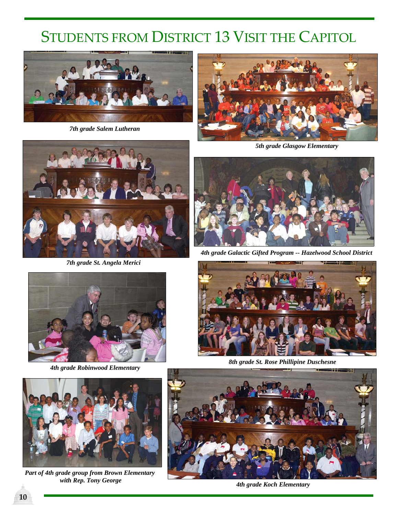# STUDENTS FROM DISTRICT 13 VISIT THE CAPITOL



*7th grade Salem Lutheran*



*5th grade Glasgow Elementary*



*7th grade St. Angela Merici*



*4th grade Galactic Gifted Program -- Hazelwood School District*



*4th grade Robinwood Elementary*



*Part of 4th grade group from Brown Elementary with Rep. Tony George*



*8th grade St. Rose Phillipine Duschesne*



*4th grade Koch Elementary*

**10**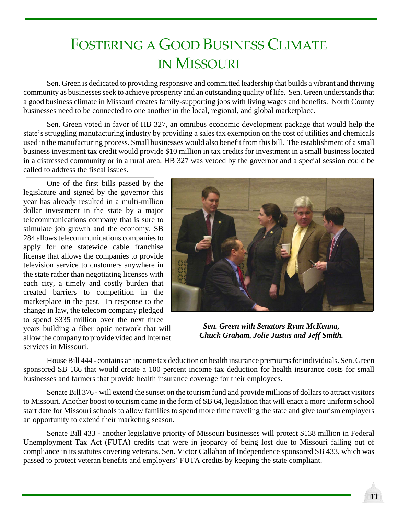## FOSTERING A GOOD BUSINESS CLIMATE IN MISSOURI

Sen. Green is dedicated to providing responsive and committed leadership that builds a vibrant and thriving community as businesses seek to achieve prosperity and an outstanding quality of life. Sen. Green understands that a good business climate in Missouri creates family-supporting jobs with living wages and benefits. North County businesses need to be connected to one another in the local, regional, and global marketplace.

Sen. Green voted in favor of HB 327, an omnibus economic development package that would help the state's struggling manufacturing industry by providing a sales tax exemption on the cost of utilities and chemicals used in the manufacturing process. Small businesses would also benefit from this bill. The establishment of a small business investment tax credit would provide \$10 million in tax credits for investment in a small business located in a distressed community or in a rural area. HB 327 was vetoed by the governor and a special session could be called to address the fiscal issues.

One of the first bills passed by the legislature and signed by the governor this year has already resulted in a multi-million dollar investment in the state by a major telecommunications company that is sure to stimulate job growth and the economy. SB 284 allows telecommunications companies to apply for one statewide cable franchise license that allows the companies to provide television service to customers anywhere in the state rather than negotiating licenses with each city, a timely and costly burden that created barriers to competition in the marketplace in the past. In response to the change in law, the telecom company pledged to spend \$335 million over the next three years building a fiber optic network that will allow the company to provide video and Internet services in Missouri.



*Sen. Green with Senators Ryan McKenna, Chuck Graham, Jolie Justus and Jeff Smith.*

House Bill 444 - contains an income tax deduction on health insurance premiums for individuals. Sen. Green sponsored SB 186 that would create a 100 percent income tax deduction for health insurance costs for small businesses and farmers that provide health insurance coverage for their employees.

Senate Bill 376 - will extend the sunset on the tourism fund and provide millions of dollars to attract visitors to Missouri. Another boost to tourism came in the form of SB 64, legislation that will enact a more uniform school start date for Missouri schools to allow families to spend more time traveling the state and give tourism employers an opportunity to extend their marketing season.

Senate Bill 433 - another legislative priority of Missouri businesses will protect \$138 million in Federal Unemployment Tax Act (FUTA) credits that were in jeopardy of being lost due to Missouri falling out of compliance in its statutes covering veterans. Sen. Victor Callahan of Independence sponsored SB 433, which was passed to protect veteran benefits and employers' FUTA credits by keeping the state compliant.